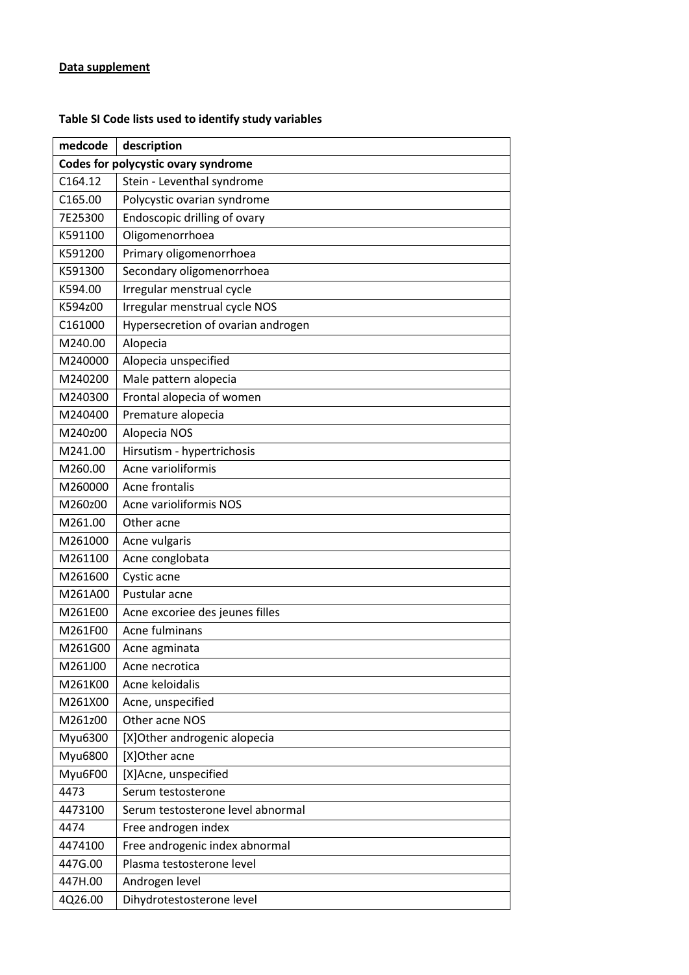## **Table SI Code lists used to identify study variables**

| medcode                             | description                        |  |  |  |  |  |  |  |
|-------------------------------------|------------------------------------|--|--|--|--|--|--|--|
| Codes for polycystic ovary syndrome |                                    |  |  |  |  |  |  |  |
| C164.12                             | Stein - Leventhal syndrome         |  |  |  |  |  |  |  |
| C165.00                             | Polycystic ovarian syndrome        |  |  |  |  |  |  |  |
| 7E25300                             | Endoscopic drilling of ovary       |  |  |  |  |  |  |  |
| K591100                             | Oligomenorrhoea                    |  |  |  |  |  |  |  |
| K591200                             | Primary oligomenorrhoea            |  |  |  |  |  |  |  |
| K591300                             | Secondary oligomenorrhoea          |  |  |  |  |  |  |  |
| K594.00                             | Irregular menstrual cycle          |  |  |  |  |  |  |  |
| K594z00                             | Irregular menstrual cycle NOS      |  |  |  |  |  |  |  |
| C161000                             | Hypersecretion of ovarian androgen |  |  |  |  |  |  |  |
| M240.00                             | Alopecia                           |  |  |  |  |  |  |  |
| M240000                             | Alopecia unspecified               |  |  |  |  |  |  |  |
| M240200                             | Male pattern alopecia              |  |  |  |  |  |  |  |
| M240300                             | Frontal alopecia of women          |  |  |  |  |  |  |  |
| M240400                             | Premature alopecia                 |  |  |  |  |  |  |  |
| M240z00                             | Alopecia NOS                       |  |  |  |  |  |  |  |
| M241.00                             | Hirsutism - hypertrichosis         |  |  |  |  |  |  |  |
| M260.00                             | Acne varioliformis                 |  |  |  |  |  |  |  |
| M260000                             | Acne frontalis                     |  |  |  |  |  |  |  |
| M260z00                             | Acne varioliformis NOS             |  |  |  |  |  |  |  |
| M261.00                             | Other acne                         |  |  |  |  |  |  |  |
| M261000                             | Acne vulgaris                      |  |  |  |  |  |  |  |
| M261100                             | Acne conglobata                    |  |  |  |  |  |  |  |
| M261600                             | Cystic acne                        |  |  |  |  |  |  |  |
| M261A00                             | Pustular acne                      |  |  |  |  |  |  |  |
| M261E00                             | Acne excoriee des jeunes filles    |  |  |  |  |  |  |  |
| M261F00                             | Acne fulminans                     |  |  |  |  |  |  |  |
| M261G00                             | Acne agminata                      |  |  |  |  |  |  |  |
| M261J00                             | Acne necrotica                     |  |  |  |  |  |  |  |
| M261K00                             | Acne keloidalis                    |  |  |  |  |  |  |  |
| M261X00                             | Acne, unspecified                  |  |  |  |  |  |  |  |
| M261z00                             | Other acne NOS                     |  |  |  |  |  |  |  |
| Myu6300                             | [X]Other androgenic alopecia       |  |  |  |  |  |  |  |
| Myu6800                             | [X]Other acne                      |  |  |  |  |  |  |  |
| Myu6F00                             | [X]Acne, unspecified               |  |  |  |  |  |  |  |
| 4473                                | Serum testosterone                 |  |  |  |  |  |  |  |
| 4473100                             | Serum testosterone level abnormal  |  |  |  |  |  |  |  |
| 4474                                | Free androgen index                |  |  |  |  |  |  |  |
| 4474100                             | Free androgenic index abnormal     |  |  |  |  |  |  |  |
| 447G.00                             | Plasma testosterone level          |  |  |  |  |  |  |  |
| 447H.00                             | Androgen level                     |  |  |  |  |  |  |  |
| 4Q26.00                             | Dihydrotestosterone level          |  |  |  |  |  |  |  |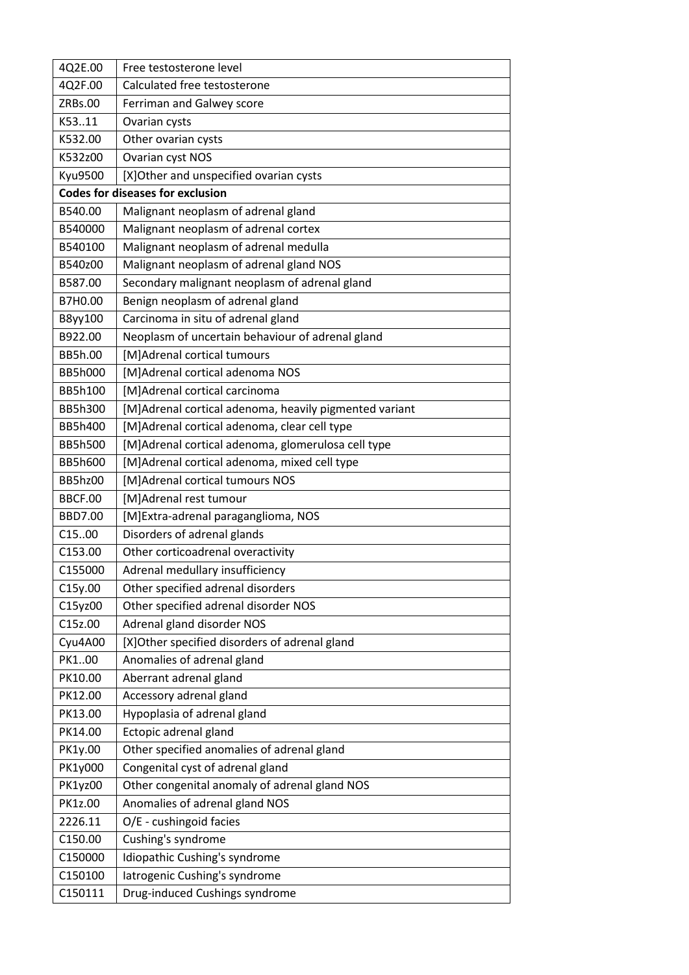| 4Q2E.00        | Free testosterone level                                |  |  |  |  |  |  |
|----------------|--------------------------------------------------------|--|--|--|--|--|--|
| 4Q2F.00        | Calculated free testosterone                           |  |  |  |  |  |  |
| ZRBs.00        | Ferriman and Galwey score                              |  |  |  |  |  |  |
| K5311          | Ovarian cysts                                          |  |  |  |  |  |  |
| K532.00        | Other ovarian cysts                                    |  |  |  |  |  |  |
| K532z00        | Ovarian cyst NOS                                       |  |  |  |  |  |  |
| <b>Kyu9500</b> | [X] Other and unspecified ovarian cysts                |  |  |  |  |  |  |
|                | <b>Codes for diseases for exclusion</b>                |  |  |  |  |  |  |
| B540.00        | Malignant neoplasm of adrenal gland                    |  |  |  |  |  |  |
| B540000        | Malignant neoplasm of adrenal cortex                   |  |  |  |  |  |  |
| B540100        | Malignant neoplasm of adrenal medulla                  |  |  |  |  |  |  |
| B540z00        | Malignant neoplasm of adrenal gland NOS                |  |  |  |  |  |  |
| B587.00        | Secondary malignant neoplasm of adrenal gland          |  |  |  |  |  |  |
| B7H0.00        | Benign neoplasm of adrenal gland                       |  |  |  |  |  |  |
| B8yy100        | Carcinoma in situ of adrenal gland                     |  |  |  |  |  |  |
| B922.00        | Neoplasm of uncertain behaviour of adrenal gland       |  |  |  |  |  |  |
| BB5h.00        | [M]Adrenal cortical tumours                            |  |  |  |  |  |  |
| <b>BB5h000</b> | [M]Adrenal cortical adenoma NOS                        |  |  |  |  |  |  |
| BB5h100        | [M]Adrenal cortical carcinoma                          |  |  |  |  |  |  |
| BB5h300        | [M]Adrenal cortical adenoma, heavily pigmented variant |  |  |  |  |  |  |
| BB5h400        | [M]Adrenal cortical adenoma, clear cell type           |  |  |  |  |  |  |
| <b>BB5h500</b> | [M]Adrenal cortical adenoma, glomerulosa cell type     |  |  |  |  |  |  |
| <b>BB5h600</b> | [M]Adrenal cortical adenoma, mixed cell type           |  |  |  |  |  |  |
| <b>BB5hz00</b> | [M]Adrenal cortical tumours NOS                        |  |  |  |  |  |  |
| <b>BBCF.00</b> | [M]Adrenal rest tumour                                 |  |  |  |  |  |  |
| <b>BBD7.00</b> | [M]Extra-adrenal paraganglioma, NOS                    |  |  |  |  |  |  |
| C1500          | Disorders of adrenal glands                            |  |  |  |  |  |  |
| C153.00        | Other corticoadrenal overactivity                      |  |  |  |  |  |  |
| C155000        | Adrenal medullary insufficiency                        |  |  |  |  |  |  |
| C15y.00        | Other specified adrenal disorders                      |  |  |  |  |  |  |
| C15yz00        | Other specified adrenal disorder NOS                   |  |  |  |  |  |  |
| C15z.00        | Adrenal gland disorder NOS                             |  |  |  |  |  |  |
| Cyu4A00        | [X] Other specified disorders of adrenal gland         |  |  |  |  |  |  |
| PK100          | Anomalies of adrenal gland                             |  |  |  |  |  |  |
| PK10.00        | Aberrant adrenal gland                                 |  |  |  |  |  |  |
| PK12.00        | Accessory adrenal gland                                |  |  |  |  |  |  |
| PK13.00        | Hypoplasia of adrenal gland                            |  |  |  |  |  |  |
| PK14.00        | Ectopic adrenal gland                                  |  |  |  |  |  |  |
| PK1y.00        | Other specified anomalies of adrenal gland             |  |  |  |  |  |  |
| PK1y000        | Congenital cyst of adrenal gland                       |  |  |  |  |  |  |
| PK1yz00        | Other congenital anomaly of adrenal gland NOS          |  |  |  |  |  |  |
| PK1z.00        | Anomalies of adrenal gland NOS                         |  |  |  |  |  |  |
| 2226.11        | O/E - cushingoid facies                                |  |  |  |  |  |  |
| C150.00        | Cushing's syndrome                                     |  |  |  |  |  |  |
| C150000        | Idiopathic Cushing's syndrome                          |  |  |  |  |  |  |
| C150100        | latrogenic Cushing's syndrome                          |  |  |  |  |  |  |
| C150111        | Drug-induced Cushings syndrome                         |  |  |  |  |  |  |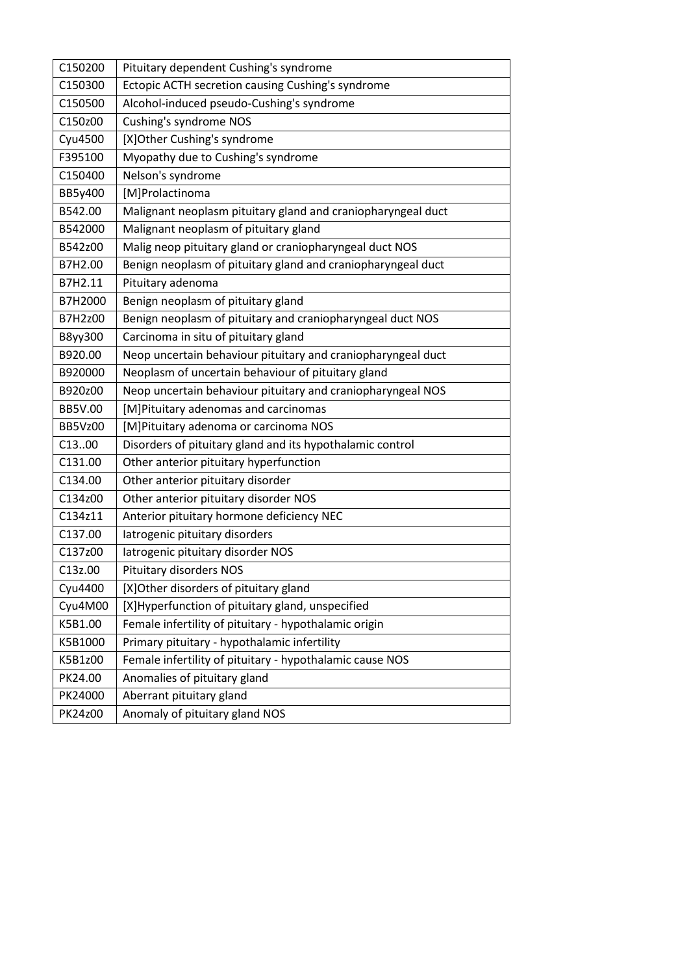| C150200        | Pituitary dependent Cushing's syndrome                       |  |  |  |  |  |
|----------------|--------------------------------------------------------------|--|--|--|--|--|
| C150300        | Ectopic ACTH secretion causing Cushing's syndrome            |  |  |  |  |  |
| C150500        | Alcohol-induced pseudo-Cushing's syndrome                    |  |  |  |  |  |
| C150z00        | Cushing's syndrome NOS                                       |  |  |  |  |  |
| Cyu4500        | [X]Other Cushing's syndrome                                  |  |  |  |  |  |
| F395100        | Myopathy due to Cushing's syndrome                           |  |  |  |  |  |
| C150400        | Nelson's syndrome                                            |  |  |  |  |  |
| BB5y400        | [M]Prolactinoma                                              |  |  |  |  |  |
| B542.00        | Malignant neoplasm pituitary gland and craniopharyngeal duct |  |  |  |  |  |
| B542000        | Malignant neoplasm of pituitary gland                        |  |  |  |  |  |
| B542z00        | Malig neop pituitary gland or craniopharyngeal duct NOS      |  |  |  |  |  |
| B7H2.00        | Benign neoplasm of pituitary gland and craniopharyngeal duct |  |  |  |  |  |
| B7H2.11        | Pituitary adenoma                                            |  |  |  |  |  |
| B7H2000        | Benign neoplasm of pituitary gland                           |  |  |  |  |  |
| B7H2z00        | Benign neoplasm of pituitary and craniopharyngeal duct NOS   |  |  |  |  |  |
| B8yy300        | Carcinoma in situ of pituitary gland                         |  |  |  |  |  |
| B920.00        | Neop uncertain behaviour pituitary and craniopharyngeal duct |  |  |  |  |  |
| B920000        | Neoplasm of uncertain behaviour of pituitary gland           |  |  |  |  |  |
| B920z00        | Neop uncertain behaviour pituitary and craniopharyngeal NOS  |  |  |  |  |  |
| <b>BB5V.00</b> | [M]Pituitary adenomas and carcinomas                         |  |  |  |  |  |
| <b>BB5Vz00</b> | [M]Pituitary adenoma or carcinoma NOS                        |  |  |  |  |  |
| C1300          | Disorders of pituitary gland and its hypothalamic control    |  |  |  |  |  |
| C131.00        | Other anterior pituitary hyperfunction                       |  |  |  |  |  |
| C134.00        | Other anterior pituitary disorder                            |  |  |  |  |  |
| C134z00        | Other anterior pituitary disorder NOS                        |  |  |  |  |  |
| C134z11        | Anterior pituitary hormone deficiency NEC                    |  |  |  |  |  |
| C137.00        | latrogenic pituitary disorders                               |  |  |  |  |  |
| C137z00        | latrogenic pituitary disorder NOS                            |  |  |  |  |  |
| C13z.00        | <b>Pituitary disorders NOS</b>                               |  |  |  |  |  |
| Cyu4400        | [X] Other disorders of pituitary gland                       |  |  |  |  |  |
| Cyu4M00        | [X]Hyperfunction of pituitary gland, unspecified             |  |  |  |  |  |
| K5B1.00        | Female infertility of pituitary - hypothalamic origin        |  |  |  |  |  |
| K5B1000        | Primary pituitary - hypothalamic infertility                 |  |  |  |  |  |
| K5B1z00        | Female infertility of pituitary - hypothalamic cause NOS     |  |  |  |  |  |
| PK24.00        | Anomalies of pituitary gland                                 |  |  |  |  |  |
| PK24000        | Aberrant pituitary gland                                     |  |  |  |  |  |
| PK24z00        | Anomaly of pituitary gland NOS                               |  |  |  |  |  |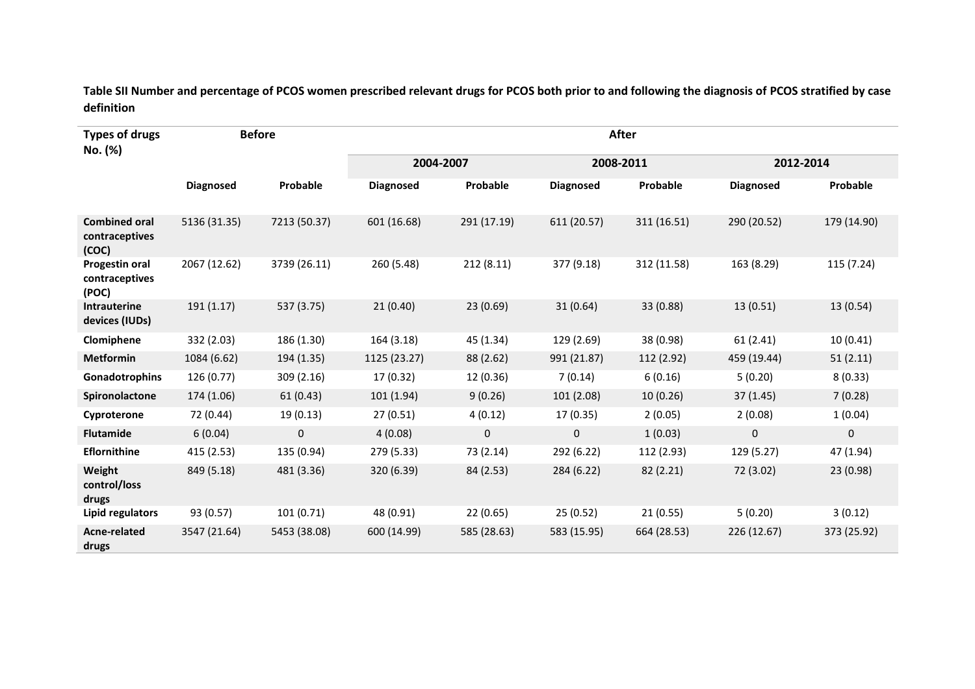**Table SII Number and percentage of PCOS women prescribed relevant drugs for PCOS both prior to and following the diagnosis of PCOS stratified by case definition**

| <b>Types of drugs</b><br>No. (%)                | <b>Before</b>    |              | After            |             |                  |             |                  |             |
|-------------------------------------------------|------------------|--------------|------------------|-------------|------------------|-------------|------------------|-------------|
|                                                 |                  |              | 2004-2007        |             | 2008-2011        |             | 2012-2014        |             |
|                                                 | <b>Diagnosed</b> | Probable     | <b>Diagnosed</b> | Probable    | <b>Diagnosed</b> | Probable    | <b>Diagnosed</b> | Probable    |
| <b>Combined oral</b><br>contraceptives<br>(COC) | 5136 (31.35)     | 7213 (50.37) | 601 (16.68)      | 291 (17.19) | 611 (20.57)      | 311 (16.51) | 290 (20.52)      | 179 (14.90) |
| Progestin oral<br>contraceptives<br>(POC)       | 2067 (12.62)     | 3739 (26.11) | 260 (5.48)       | 212(8.11)   | 377 (9.18)       | 312 (11.58) | 163 (8.29)       | 115 (7.24)  |
| Intrauterine<br>devices (IUDs)                  | 191 (1.17)       | 537 (3.75)   | 21(0.40)         | 23(0.69)    | 31(0.64)         | 33 (0.88)   | 13(0.51)         | 13(0.54)    |
| Clomiphene                                      | 332 (2.03)       | 186 (1.30)   | 164 (3.18)       | 45 (1.34)   | 129 (2.69)       | 38 (0.98)   | 61(2.41)         | 10(0.41)    |
| <b>Metformin</b>                                | 1084 (6.62)      | 194 (1.35)   | 1125 (23.27)     | 88 (2.62)   | 991 (21.87)      | 112 (2.92)  | 459 (19.44)      | 51(2.11)    |
| Gonadotrophins                                  | 126 (0.77)       | 309 (2.16)   | 17 (0.32)        | 12 (0.36)   | 7(0.14)          | 6(0.16)     | 5(0.20)          | 8(0.33)     |
| Spironolactone                                  | 174 (1.06)       | 61(0.43)     | 101 (1.94)       | 9(0.26)     | 101 (2.08)       | 10 (0.26)   | 37 (1.45)        | 7(0.28)     |
| Cyproterone                                     | 72 (0.44)        | 19 (0.13)    | 27(0.51)         | 4(0.12)     | 17 (0.35)        | 2(0.05)     | 2(0.08)          | 1(0.04)     |
| <b>Flutamide</b>                                | 6(0.04)          | $\pmb{0}$    | 4(0.08)          | $\mathbf 0$ | 0                | 1(0.03)     | $\pmb{0}$        | 0           |
| <b>Eflornithine</b>                             | 415 (2.53)       | 135 (0.94)   | 279 (5.33)       | 73 (2.14)   | 292 (6.22)       | 112 (2.93)  | 129 (5.27)       | 47 (1.94)   |
| Weight<br>control/loss<br>drugs                 | 849 (5.18)       | 481 (3.36)   | 320 (6.39)       | 84 (2.53)   | 284 (6.22)       | 82 (2.21)   | 72 (3.02)        | 23(0.98)    |
| Lipid regulators                                | 93 (0.57)        | 101(0.71)    | 48 (0.91)        | 22(0.65)    | 25(0.52)         | 21(0.55)    | 5(0.20)          | 3(0.12)     |
| Acne-related<br>drugs                           | 3547 (21.64)     | 5453 (38.08) | 600 (14.99)      | 585 (28.63) | 583 (15.95)      | 664 (28.53) | 226 (12.67)      | 373 (25.92) |